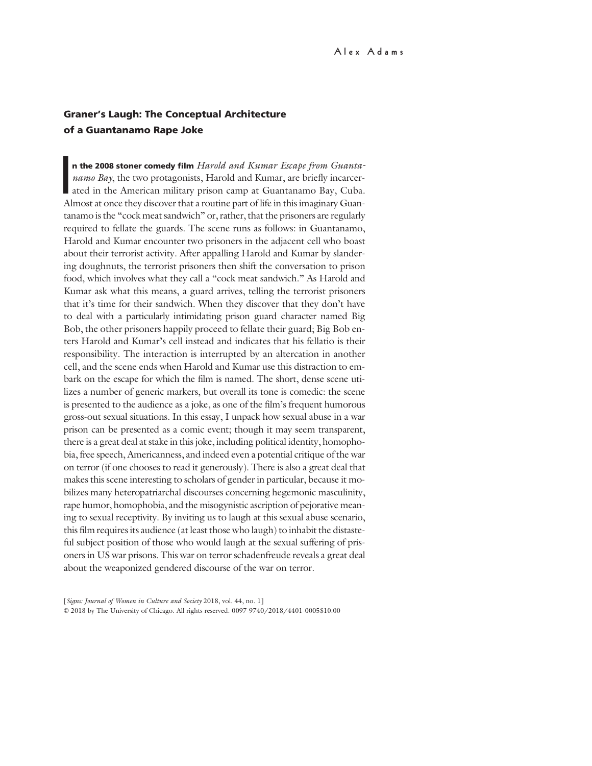# Graner's Laugh: The Conceptual Architecture of a Guantanamo Rape Joke

**I**<br>A n the 2008 stoner comedy film Harold and Kumar Escape from Guantanamo Bay, the two protagonists, Harold and Kumar, are briefly incarcerated in the American military prison camp at Guantanamo Bay, Cuba. Almost at once they discover that a routine part of life in this imaginary Guantanamo is the "cock meat sandwich" or, rather, that the prisoners are regularly required to fellate the guards. The scene runs as follows: in Guantanamo, Harold and Kumar encounter two prisoners in the adjacent cell who boast about their terrorist activity. After appalling Harold and Kumar by slandering doughnuts, the terrorist prisoners then shift the conversation to prison food, which involves what they call a "cock meat sandwich." As Harold and Kumar ask what this means, a guard arrives, telling the terrorist prisoners that it's time for their sandwich. When they discover that they don't have to deal with a particularly intimidating prison guard character named Big Bob, the other prisoners happily proceed to fellate their guard; Big Bob enters Harold and Kumar's cell instead and indicates that his fellatio is their responsibility. The interaction is interrupted by an altercation in another cell, and the scene ends when Harold and Kumar use this distraction to embark on the escape for which the film is named. The short, dense scene utilizes a number of generic markers, but overall its tone is comedic: the scene is presented to the audience as a joke, as one of the film's frequent humorous gross-out sexual situations. In this essay, I unpack how sexual abuse in a war prison can be presented as a comic event; though it may seem transparent, there is a great deal at stake in this joke, including political identity, homophobia, free speech, Americanness, and indeed even a potential critique of the war on terror (if one chooses to read it generously). There is also a great deal that makes this scene interesting to scholars of gender in particular, because it mobilizes many heteropatriarchal discourses concerning hegemonic masculinity, rape humor, homophobia, and the misogynistic ascription of pejorative meaning to sexual receptivity. By inviting us to laugh at this sexual abuse scenario, this film requires its audience (at least those who laugh) to inhabit the distasteful subject position of those who would laugh at the sexual suffering of prisoners in US war prisons. This war on terror schadenfreude reveals a great deal about the weaponized gendered discourse of the war on terror.

[Signs: Journal of Women in Culture and Society 2018, vol. 44, no. 1] © 2018 by The University of Chicago. All rights reserved. 0097-9740/2018/4401-0005\$10.00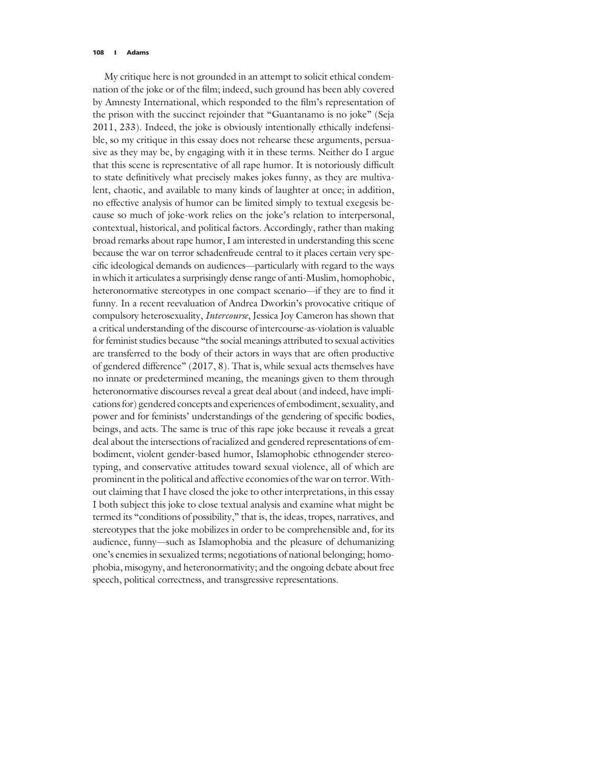#### 108 | Adams

My critique here is not grounded in an attempt to solicit ethical condemnation of the joke or of the film; indeed, such ground has been ably covered by Amnesty International, which responded to the film's representation of the prison with the succinct rejoinder that "Guantanamo is no joke" (Seja 2011, 233). Indeed, the joke is obviously intentionally ethically indefensible, so my critique in this essay does not rehearse these arguments, persuasive as they may be, by engaging with it in these terms. Neither do I argue that this scene is representative of all rape humor. It is notoriously difficult to state definitively what precisely makes jokes funny, as they are multivalent, chaotic, and available to many kinds of laughter at once; in addition, no effective analysis of humor can be limited simply to textual exegesis because so much of joke-work relies on the joke's relation to interpersonal, contextual, historical, and political factors. Accordingly, rather than making broad remarks about rape humor, I am interested in understanding this scene because the war on terror schadenfreude central to it places certain very specific ideological demands on audiences—particularly with regard to the ways in which it articulates a surprisingly dense range of anti-Muslim, homophobic, heteronormative stereotypes in one compact scenario—if they are to find it funny. In a recent reevaluation of Andrea Dworkin's provocative critique of compulsory heterosexuality, *Intercourse*, Jessica Joy Cameron has shown that a critical understanding of the discourse of intercourse-as-violation is valuable for feminist studies because "the social meanings attributed to sexual activities are transferred to the body of their actors in ways that are often productive of gendered difference" (2017, 8). That is, while sexual acts themselves have no innate or predetermined meaning, the meanings given to them through heteronormative discourses reveal a great deal about (and indeed, have implications for) gendered concepts and experiences of embodiment, sexuality, and power and for feminists' understandings of the gendering of specific bodies, beings, and acts. The same is true of this rape joke because it reveals a great deal about the intersections of racialized and gendered representations of embodiment, violent gender-based humor, Islamophobic ethnogender stereotyping, and conservative attitudes toward sexual violence, all of which are prominent in the political and affective economies of the war on terror. Without claiming that I have closed the joke to other interpretations, in this essay I both subject this joke to close textual analysis and examine what might be termed its "conditions of possibility," that is, the ideas, tropes, narratives, and stereotypes that the joke mobilizes in order to be comprehensible and, for its audience, funny—such as Islamophobia and the pleasure of dehumanizing one's enemies in sexualized terms; negotiations of national belonging; homophobia, misogyny, and heteronormativity; and the ongoing debate about free speech, political correctness, and transgressive representations.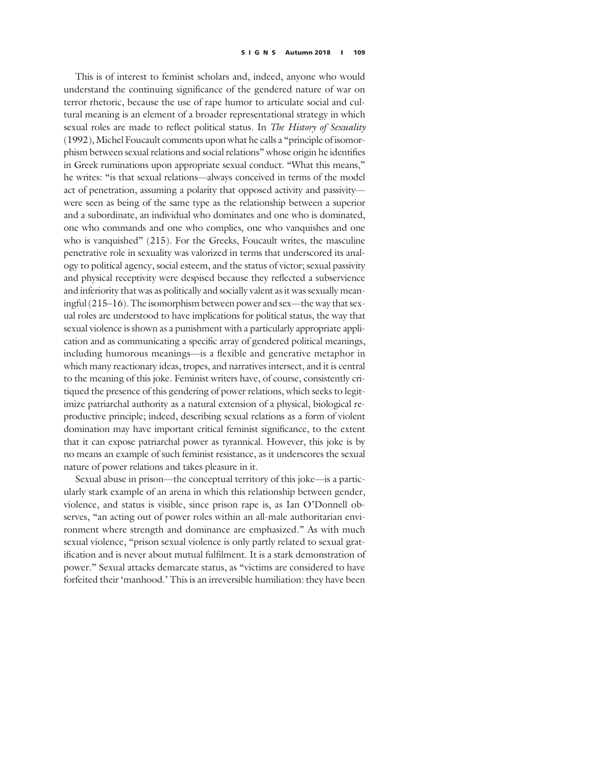This is of interest to feminist scholars and, indeed, anyone who would understand the continuing significance of the gendered nature of war on terror rhetoric, because the use of rape humor to articulate social and cultural meaning is an element of a broader representational strategy in which sexual roles are made to reflect political status. In The History of Sexuality (1992), Michel Foucault comments upon what he calls a "principle of isomorphism between sexual relations and social relations" whose origin he identifies in Greek ruminations upon appropriate sexual conduct. "What this means," he writes: "is that sexual relations—always conceived in terms of the model act of penetration, assuming a polarity that opposed activity and passivity were seen as being of the same type as the relationship between a superior and a subordinate, an individual who dominates and one who is dominated, one who commands and one who complies, one who vanquishes and one who is vanquished" (215). For the Greeks, Foucault writes, the masculine penetrative role in sexuality was valorized in terms that underscored its analogy to political agency, social esteem, and the status of victor; sexual passivity and physical receptivity were despised because they reflected a subservience and inferiority that was as politically and socially valent as it was sexually meaningful (215–16). The isomorphism between power and sex—the way that sexual roles are understood to have implications for political status, the way that sexual violence is shown as a punishment with a particularly appropriate application and as communicating a specific array of gendered political meanings, including humorous meanings—is a flexible and generative metaphor in which many reactionary ideas, tropes, and narratives intersect, and it is central to the meaning of this joke. Feminist writers have, of course, consistently critiqued the presence of this gendering of power relations, which seeks to legitimize patriarchal authority as a natural extension of a physical, biological reproductive principle; indeed, describing sexual relations as a form of violent domination may have important critical feminist significance, to the extent that it can expose patriarchal power as tyrannical. However, this joke is by no means an example of such feminist resistance, as it underscores the sexual nature of power relations and takes pleasure in it.

Sexual abuse in prison—the conceptual territory of this joke—is a particularly stark example of an arena in which this relationship between gender, violence, and status is visible, since prison rape is, as Ian O'Donnell observes, "an acting out of power roles within an all-male authoritarian environment where strength and dominance are emphasized." As with much sexual violence, "prison sexual violence is only partly related to sexual gratification and is never about mutual fulfilment. It is a stark demonstration of power." Sexual attacks demarcate status, as "victims are considered to have forfeited their 'manhood.' This is an irreversible humiliation: they have been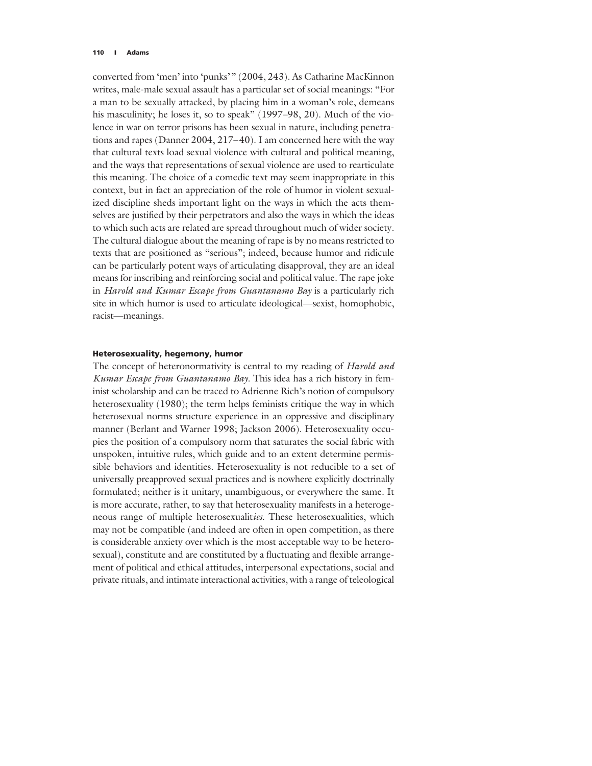#### $110 \quad 1$  Adams

converted from 'men' into 'punks'" (2004, 243). As Catharine MacKinnon writes, male-male sexual assault has a particular set of social meanings: "For a man to be sexually attacked, by placing him in a woman's role, demeans his masculinity; he loses it, so to speak" (1997–98, 20). Much of the violence in war on terror prisons has been sexual in nature, including penetrations and rapes (Danner 2004, 217–40). I am concerned here with the way that cultural texts load sexual violence with cultural and political meaning, and the ways that representations of sexual violence are used to rearticulate this meaning. The choice of a comedic text may seem inappropriate in this context, but in fact an appreciation of the role of humor in violent sexualized discipline sheds important light on the ways in which the acts themselves are justified by their perpetrators and also the ways in which the ideas to which such acts are related are spread throughout much of wider society. The cultural dialogue about the meaning of rape is by no means restricted to texts that are positioned as "serious"; indeed, because humor and ridicule can be particularly potent ways of articulating disapproval, they are an ideal means for inscribing and reinforcing social and political value. The rape joke in Harold and Kumar Escape from Guantanamo Bay is a particularly rich site in which humor is used to articulate ideological—sexist, homophobic, racist—meanings.

### Heterosexuality, hegemony, humor

The concept of heteronormativity is central to my reading of Harold and Kumar Escape from Guantanamo Bay. This idea has a rich history in feminist scholarship and can be traced to Adrienne Rich's notion of compulsory heterosexuality (1980); the term helps feminists critique the way in which heterosexual norms structure experience in an oppressive and disciplinary manner (Berlant and Warner 1998; Jackson 2006). Heterosexuality occupies the position of a compulsory norm that saturates the social fabric with unspoken, intuitive rules, which guide and to an extent determine permissible behaviors and identities. Heterosexuality is not reducible to a set of universally preapproved sexual practices and is nowhere explicitly doctrinally formulated; neither is it unitary, unambiguous, or everywhere the same. It is more accurate, rather, to say that heterosexuality manifests in a heterogeneous range of multiple heterosexualities. These heterosexualities, which may not be compatible (and indeed are often in open competition, as there is considerable anxiety over which is the most acceptable way to be heterosexual), constitute and are constituted by a fluctuating and flexible arrangement of political and ethical attitudes, interpersonal expectations, social and private rituals, and intimate interactional activities, with a range of teleological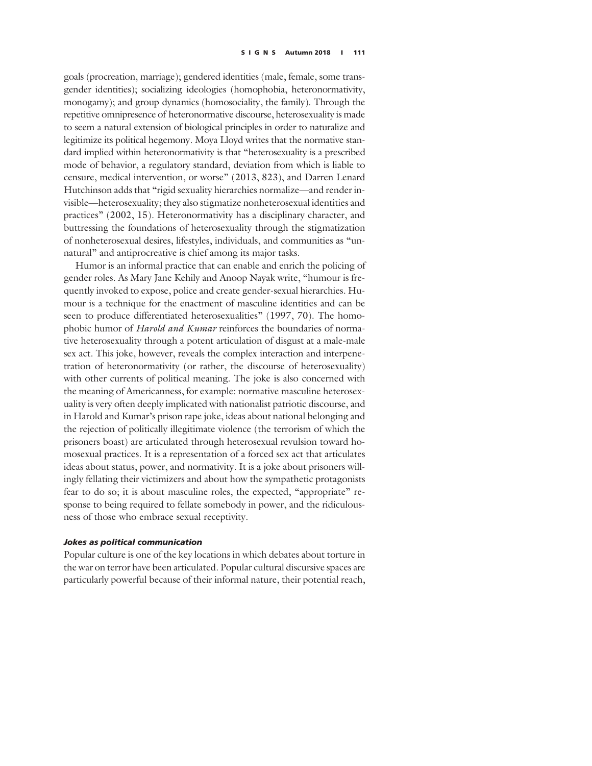goals (procreation, marriage); gendered identities (male, female, some transgender identities); socializing ideologies (homophobia, heteronormativity, monogamy); and group dynamics (homosociality, the family). Through the repetitive omnipresence of heteronormative discourse, heterosexuality is made to seem a natural extension of biological principles in order to naturalize and legitimize its political hegemony. Moya Lloyd writes that the normative standard implied within heteronormativity is that "heterosexuality is a prescribed mode of behavior, a regulatory standard, deviation from which is liable to censure, medical intervention, or worse" (2013, 823), and Darren Lenard Hutchinson adds that "rigid sexuality hierarchies normalize—and render invisible—heterosexuality; they also stigmatize nonheterosexual identities and practices" (2002, 15). Heteronormativity has a disciplinary character, and buttressing the foundations of heterosexuality through the stigmatization of nonheterosexual desires, lifestyles, individuals, and communities as "unnatural" and antiprocreative is chief among its major tasks.

Humor is an informal practice that can enable and enrich the policing of gender roles. As Mary Jane Kehily and Anoop Nayak write, "humour is frequently invoked to expose, police and create gender-sexual hierarchies. Humour is a technique for the enactment of masculine identities and can be seen to produce differentiated heterosexualities" (1997, 70). The homophobic humor of Harold and Kumar reinforces the boundaries of normative heterosexuality through a potent articulation of disgust at a male-male sex act. This joke, however, reveals the complex interaction and interpenetration of heteronormativity (or rather, the discourse of heterosexuality) with other currents of political meaning. The joke is also concerned with the meaning of Americanness, for example: normative masculine heterosexuality is very often deeply implicated with nationalist patriotic discourse, and in Harold and Kumar's prison rape joke, ideas about national belonging and the rejection of politically illegitimate violence (the terrorism of which the prisoners boast) are articulated through heterosexual revulsion toward homosexual practices. It is a representation of a forced sex act that articulates ideas about status, power, and normativity. It is a joke about prisoners willingly fellating their victimizers and about how the sympathetic protagonists fear to do so; it is about masculine roles, the expected, "appropriate" response to being required to fellate somebody in power, and the ridiculousness of those who embrace sexual receptivity.

# Jokes as political communication

Popular culture is one of the key locations in which debates about torture in the war on terror have been articulated. Popular cultural discursive spaces are particularly powerful because of their informal nature, their potential reach,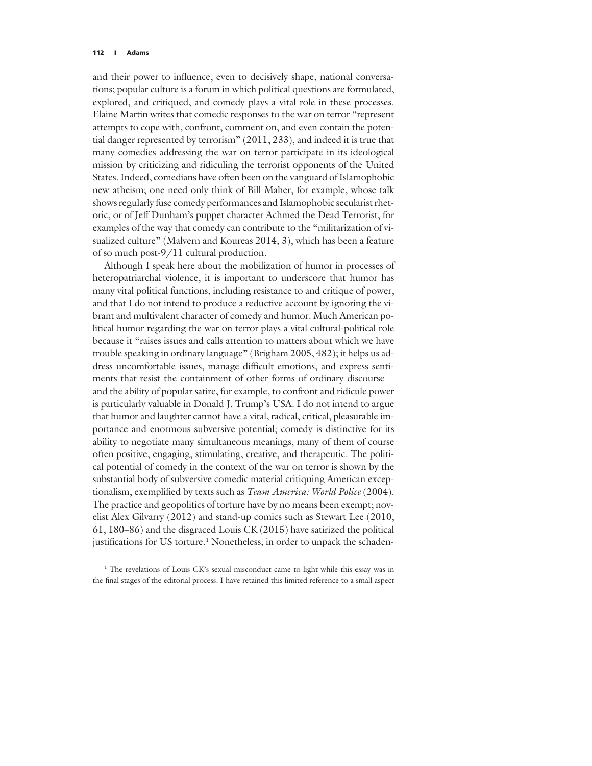#### 112 | Adams

and their power to influence, even to decisively shape, national conversations; popular culture is a forum in which political questions are formulated, explored, and critiqued, and comedy plays a vital role in these processes. Elaine Martin writes that comedic responses to the war on terror "represent attempts to cope with, confront, comment on, and even contain the potential danger represented by terrorism" (2011, 233), and indeed it is true that many comedies addressing the war on terror participate in its ideological mission by criticizing and ridiculing the terrorist opponents of the United States. Indeed, comedians have often been on the vanguard of Islamophobic new atheism; one need only think of Bill Maher, for example, whose talk shows regularly fuse comedy performances and Islamophobic secularist rhetoric, or of Jeff Dunham's puppet character Achmed the Dead Terrorist, for examples of the way that comedy can contribute to the "militarization of visualized culture" (Malvern and Koureas 2014, 3), which has been a feature of so much post-9/11 cultural production.

Although I speak here about the mobilization of humor in processes of heteropatriarchal violence, it is important to underscore that humor has many vital political functions, including resistance to and critique of power, and that I do not intend to produce a reductive account by ignoring the vibrant and multivalent character of comedy and humor. Much American political humor regarding the war on terror plays a vital cultural-political role because it "raises issues and calls attention to matters about which we have trouble speaking in ordinary language" (Brigham 2005, 482); it helps us address uncomfortable issues, manage difficult emotions, and express sentiments that resist the containment of other forms of ordinary discourse and the ability of popular satire, for example, to confront and ridicule power is particularly valuable in Donald J. Trump's USA. I do not intend to argue that humor and laughter cannot have a vital, radical, critical, pleasurable importance and enormous subversive potential; comedy is distinctive for its ability to negotiate many simultaneous meanings, many of them of course often positive, engaging, stimulating, creative, and therapeutic. The political potential of comedy in the context of the war on terror is shown by the substantial body of subversive comedic material critiquing American exceptionalism, exemplified by texts such as *Team America: World Police* (2004). The practice and geopolitics of torture have by no means been exempt; novelist Alex Gilvarry (2012) and stand-up comics such as Stewart Lee (2010, 61, 180–86) and the disgraced Louis CK (2015) have satirized the political justifications for US torture.<sup>1</sup> Nonetheless, in order to unpack the schaden-

<sup>&</sup>lt;sup>1</sup> The revelations of Louis CK's sexual misconduct came to light while this essay was in the final stages of the editorial process. I have retained this limited reference to a small aspect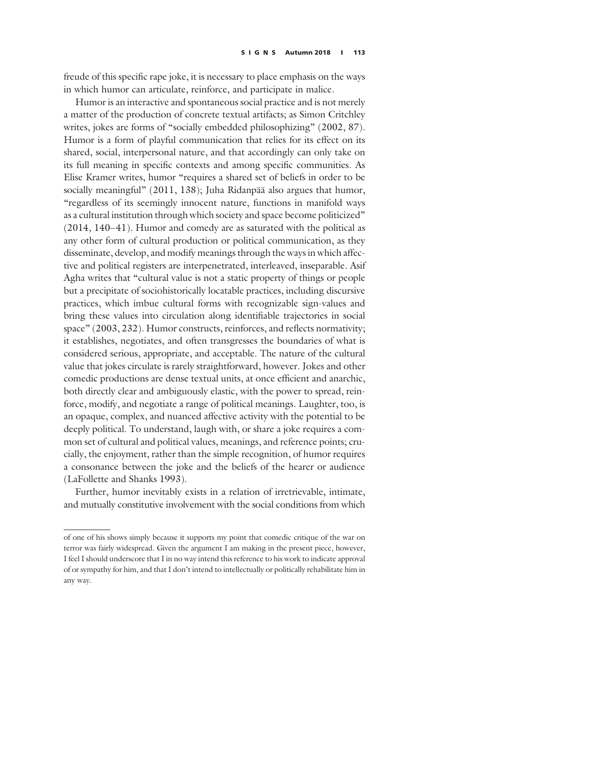freude of this specific rape joke, it is necessary to place emphasis on the ways in which humor can articulate, reinforce, and participate in malice.

Humor is an interactive and spontaneous social practice and is not merely a matter of the production of concrete textual artifacts; as Simon Critchley writes, jokes are forms of "socially embedded philosophizing" (2002, 87). Humor is a form of playful communication that relies for its effect on its shared, social, interpersonal nature, and that accordingly can only take on its full meaning in specific contexts and among specific communities. As Elise Kramer writes, humor "requires a shared set of beliefs in order to be socially meaningful" (2011, 138); Juha Ridanpää also argues that humor, "regardless of its seemingly innocent nature, functions in manifold ways as a cultural institution through which society and space become politicized" (2014, 140–41). Humor and comedy are as saturated with the political as any other form of cultural production or political communication, as they disseminate, develop, and modify meanings through the ways in which affective and political registers are interpenetrated, interleaved, inseparable. Asif Agha writes that "cultural value is not a static property of things or people but a precipitate of sociohistorically locatable practices, including discursive practices, which imbue cultural forms with recognizable sign-values and bring these values into circulation along identifiable trajectories in social space" (2003, 232). Humor constructs, reinforces, and reflects normativity; it establishes, negotiates, and often transgresses the boundaries of what is considered serious, appropriate, and acceptable. The nature of the cultural value that jokes circulate is rarely straightforward, however. Jokes and other comedic productions are dense textual units, at once efficient and anarchic, both directly clear and ambiguously elastic, with the power to spread, reinforce, modify, and negotiate a range of political meanings. Laughter, too, is an opaque, complex, and nuanced affective activity with the potential to be deeply political. To understand, laugh with, or share a joke requires a common set of cultural and political values, meanings, and reference points; crucially, the enjoyment, rather than the simple recognition, of humor requires a consonance between the joke and the beliefs of the hearer or audience (LaFollette and Shanks 1993).

Further, humor inevitably exists in a relation of irretrievable, intimate, and mutually constitutive involvement with the social conditions from which

of one of his shows simply because it supports my point that comedic critique of the war on terror was fairly widespread. Given the argument I am making in the present piece, however, I feel I should underscore that I in no way intend this reference to his work to indicate approval of or sympathy for him, and that I don't intend to intellectually or politically rehabilitate him in any way.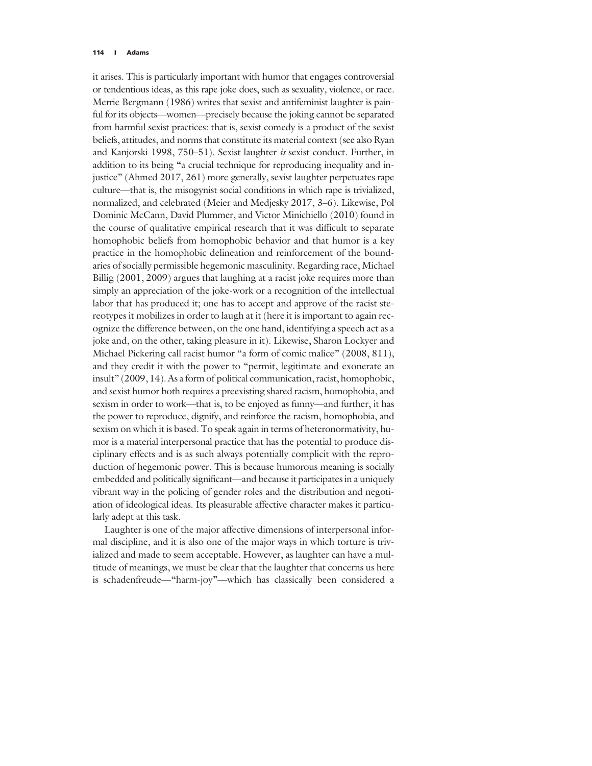it arises. This is particularly important with humor that engages controversial or tendentious ideas, as this rape joke does, such as sexuality, violence, or race. Merrie Bergmann (1986) writes that sexist and antifeminist laughter is painful for its objects—women—precisely because the joking cannot be separated from harmful sexist practices: that is, sexist comedy is a product of the sexist beliefs, attitudes, and norms that constitute its material context (see also Ryan and Kanjorski 1998, 750–51). Sexist laughter is sexist conduct. Further, in addition to its being "a crucial technique for reproducing inequality and injustice" (Ahmed 2017, 261) more generally, sexist laughter perpetuates rape culture—that is, the misogynist social conditions in which rape is trivialized, normalized, and celebrated (Meier and Medjesky 2017, 3–6). Likewise, Pol Dominic McCann, David Plummer, and Victor Minichiello (2010) found in the course of qualitative empirical research that it was difficult to separate homophobic beliefs from homophobic behavior and that humor is a key practice in the homophobic delineation and reinforcement of the boundaries of socially permissible hegemonic masculinity. Regarding race, Michael Billig (2001, 2009) argues that laughing at a racist joke requires more than simply an appreciation of the joke-work or a recognition of the intellectual labor that has produced it; one has to accept and approve of the racist stereotypes it mobilizes in order to laugh at it (here it is important to again recognize the difference between, on the one hand, identifying a speech act as a joke and, on the other, taking pleasure in it). Likewise, Sharon Lockyer and Michael Pickering call racist humor "a form of comic malice" (2008, 811), and they credit it with the power to "permit, legitimate and exonerate an insult" (2009, 14). As a form of political communication, racist, homophobic, and sexist humor both requires a preexisting shared racism, homophobia, and sexism in order to work—that is, to be enjoyed as funny—and further, it has the power to reproduce, dignify, and reinforce the racism, homophobia, and sexism on which it is based. To speak again in terms of heteronormativity, humor is a material interpersonal practice that has the potential to produce disciplinary effects and is as such always potentially complicit with the reproduction of hegemonic power. This is because humorous meaning is socially embedded and politically significant—and because it participates in a uniquely vibrant way in the policing of gender roles and the distribution and negotiation of ideological ideas. Its pleasurable affective character makes it particularly adept at this task.

Laughter is one of the major affective dimensions of interpersonal informal discipline, and it is also one of the major ways in which torture is trivialized and made to seem acceptable. However, as laughter can have a multitude of meanings, we must be clear that the laughter that concerns us here is schadenfreude—"harm-joy"—which has classically been considered a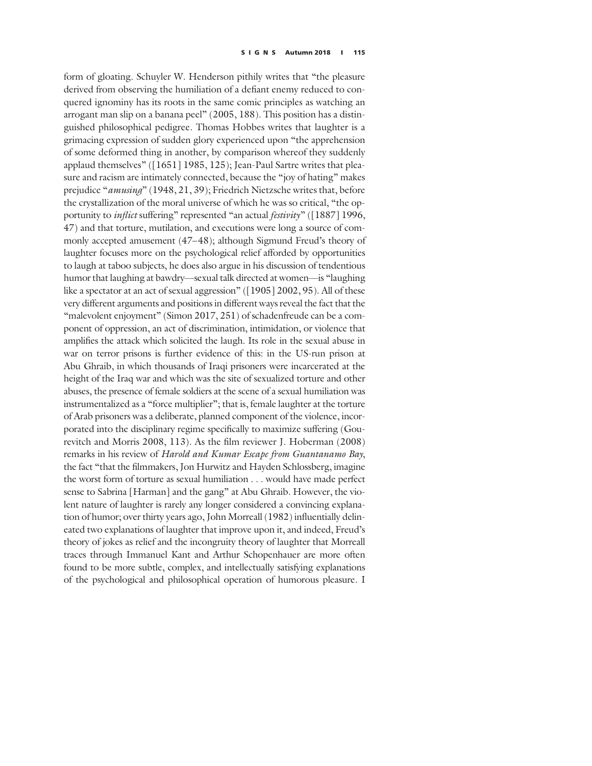form of gloating. Schuyler W. Henderson pithily writes that "the pleasure derived from observing the humiliation of a defiant enemy reduced to conquered ignominy has its roots in the same comic principles as watching an arrogant man slip on a banana peel" (2005, 188). This position has a distinguished philosophical pedigree. Thomas Hobbes writes that laughter is a grimacing expression of sudden glory experienced upon "the apprehension of some deformed thing in another, by comparison whereof they suddenly applaud themselves" ([1651] 1985, 125); Jean-Paul Sartre writes that pleasure and racism are intimately connected, because the "joy of hating" makes prejudice "amusing" (1948, 21, 39); Friedrich Nietzsche writes that, before the crystallization of the moral universe of which he was so critical, "the opportunity to *inflict* suffering" represented "an actual *festivity*" ([1887] 1996, 47) and that torture, mutilation, and executions were long a source of commonly accepted amusement (47–48); although Sigmund Freud's theory of laughter focuses more on the psychological relief afforded by opportunities to laugh at taboo subjects, he does also argue in his discussion of tendentious humor that laughing at bawdry—sexual talk directed at women—is "laughing like a spectator at an act of sexual aggression" ([1905] 2002, 95). All of these very different arguments and positions in different ways reveal the fact that the "malevolent enjoyment" (Simon 2017, 251) of schadenfreude can be a component of oppression, an act of discrimination, intimidation, or violence that amplifies the attack which solicited the laugh. Its role in the sexual abuse in war on terror prisons is further evidence of this: in the US-run prison at Abu Ghraib, in which thousands of Iraqi prisoners were incarcerated at the height of the Iraq war and which was the site of sexualized torture and other abuses, the presence of female soldiers at the scene of a sexual humiliation was instrumentalized as a "force multiplier"; that is, female laughter at the torture of Arab prisoners was a deliberate, planned component of the violence, incorporated into the disciplinary regime specifically to maximize suffering (Gourevitch and Morris 2008, 113). As the film reviewer J. Hoberman (2008) remarks in his review of Harold and Kumar Escape from Guantanamo Bay, the fact "that the filmmakers, Jon Hurwitz and Hayden Schlossberg, imagine the worst form of torture as sexual humiliation ... would have made perfect sense to Sabrina [Harman] and the gang" at Abu Ghraib. However, the violent nature of laughter is rarely any longer considered a convincing explanation of humor; over thirty years ago, John Morreall (1982) influentially delineated two explanations of laughter that improve upon it, and indeed, Freud's theory of jokes as relief and the incongruity theory of laughter that Morreall traces through Immanuel Kant and Arthur Schopenhauer are more often found to be more subtle, complex, and intellectually satisfying explanations of the psychological and philosophical operation of humorous pleasure. I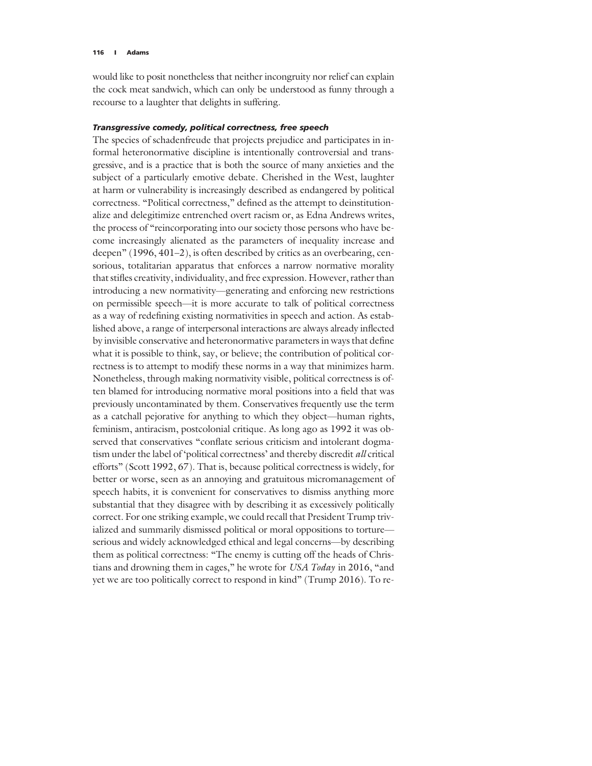#### 116 | Adams

would like to posit nonetheless that neither incongruity nor relief can explain the cock meat sandwich, which can only be understood as funny through a recourse to a laughter that delights in suffering.

### Transgressive comedy, political correctness, free speech

The species of schadenfreude that projects prejudice and participates in informal heteronormative discipline is intentionally controversial and transgressive, and is a practice that is both the source of many anxieties and the subject of a particularly emotive debate. Cherished in the West, laughter at harm or vulnerability is increasingly described as endangered by political correctness. "Political correctness," defined as the attempt to deinstitutionalize and delegitimize entrenched overt racism or, as Edna Andrews writes, the process of "reincorporating into our society those persons who have become increasingly alienated as the parameters of inequality increase and deepen" (1996, 401–2), is often described by critics as an overbearing, censorious, totalitarian apparatus that enforces a narrow normative morality that stifles creativity, individuality, and free expression. However, rather than introducing a new normativity—generating and enforcing new restrictions on permissible speech—it is more accurate to talk of political correctness as a way of redefining existing normativities in speech and action. As established above, a range of interpersonal interactions are always already inflected by invisible conservative and heteronormative parameters in ways that define what it is possible to think, say, or believe; the contribution of political correctness is to attempt to modify these norms in a way that minimizes harm. Nonetheless, through making normativity visible, political correctness is often blamed for introducing normative moral positions into a field that was previously uncontaminated by them. Conservatives frequently use the term as a catchall pejorative for anything to which they object—human rights, feminism, antiracism, postcolonial critique. As long ago as 1992 it was observed that conservatives "conflate serious criticism and intolerant dogmatism under the label of 'political correctness' and thereby discredit all critical efforts" (Scott 1992, 67). That is, because political correctness is widely, for better or worse, seen as an annoying and gratuitous micromanagement of speech habits, it is convenient for conservatives to dismiss anything more substantial that they disagree with by describing it as excessively politically correct. For one striking example, we could recall that President Trump trivialized and summarily dismissed political or moral oppositions to torture serious and widely acknowledged ethical and legal concerns—by describing them as political correctness: "The enemy is cutting off the heads of Christians and drowning them in cages," he wrote for USA Today in 2016, "and yet we are too politically correct to respond in kind" (Trump 2016). To re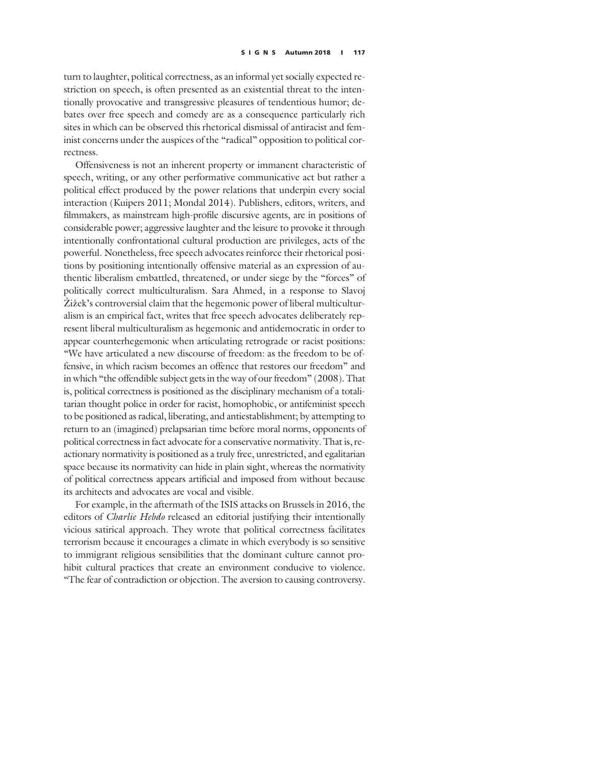turn to laughter, political correctness, as an informal yet socially expected restriction on speech, is often presented as an existential threat to the intentionally provocative and transgressive pleasures of tendentious humor; debates over free speech and comedy are as a consequence particularly rich sites in which can be observed this rhetorical dismissal of antiracist and feminist concerns under the auspices of the "radical" opposition to political correctness.

Offensiveness is not an inherent property or immanent characteristic of speech, writing, or any other performative communicative act but rather a political effect produced by the power relations that underpin every social interaction (Kuipers 2011; Mondal 2014). Publishers, editors, writers, and filmmakers, as mainstream high-profile discursive agents, are in positions of considerable power; aggressive laughter and the leisure to provoke it through intentionally confrontational cultural production are privileges, acts of the powerful. Nonetheless, free speech advocates reinforce their rhetorical positions by positioning intentionally offensive material as an expression of authentic liberalism embattled, threatened, or under siege by the "forces" of politically correct multiculturalism. Sara Ahmed, in a response to Slavoj Žižek's controversial claim that the hegemonic power of liberal multiculturalism is an empirical fact, writes that free speech advocates deliberately represent liberal multiculturalism as hegemonic and antidemocratic in order to appear counterhegemonic when articulating retrograde or racist positions: "We have articulated a new discourse of freedom: as the freedom to be offensive, in which racism becomes an offence that restores our freedom" and in which "the offendible subject gets in the way of our freedom" (2008). That is, political correctness is positioned as the disciplinary mechanism of a totalitarian thought police in order for racist, homophobic, or antifeminist speech to be positioned as radical, liberating, and antiestablishment; by attempting to return to an (imagined) prelapsarian time before moral norms, opponents of political correctness in fact advocate for a conservative normativity. That is, reactionary normativity is positioned as a truly free, unrestricted, and egalitarian space because its normativity can hide in plain sight, whereas the normativity of political correctness appears artificial and imposed from without because its architects and advocates are vocal and visible.

For example, in the aftermath of the ISIS attacks on Brussels in 2016, the editors of *Charlie Hebdo* released an editorial justifying their intentionally vicious satirical approach. They wrote that political correctness facilitates terrorism because it encourages a climate in which everybody is so sensitive to immigrant religious sensibilities that the dominant culture cannot prohibit cultural practices that create an environment conducive to violence. "The fear of contradiction or objection. The aversion to causing controversy.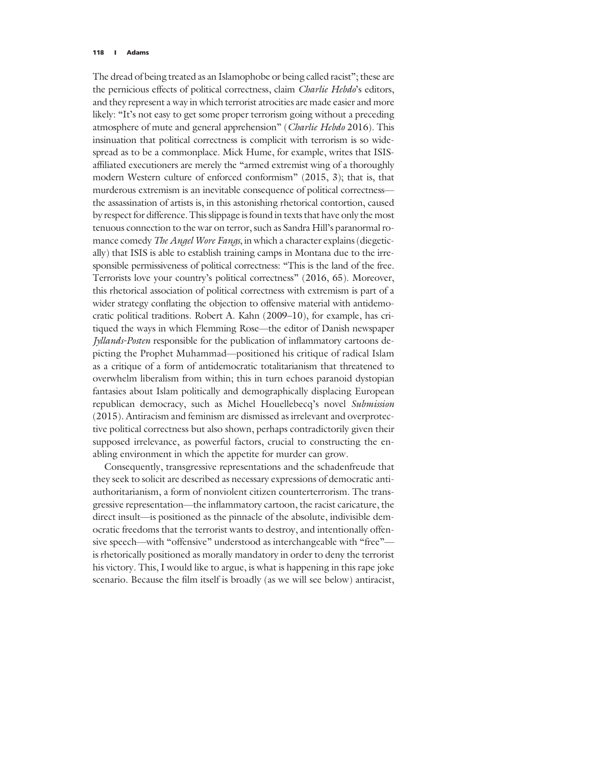#### 118 | Adams

The dread of being treated as an Islamophobe or being called racist"; these are the pernicious effects of political correctness, claim Charlie Hebdo's editors, and they represent a way in which terrorist atrocities are made easier and more likely: "It's not easy to get some proper terrorism going without a preceding atmosphere of mute and general apprehension" (Charlie Hebdo 2016). This insinuation that political correctness is complicit with terrorism is so widespread as to be a commonplace. Mick Hume, for example, writes that ISISaffiliated executioners are merely the "armed extremist wing of a thoroughly modern Western culture of enforced conformism" (2015, 3); that is, that murderous extremism is an inevitable consequence of political correctness the assassination of artists is, in this astonishing rhetorical contortion, caused by respect for difference. This slippage is found in texts that have only the most tenuous connection to the war on terror, such as Sandra Hill's paranormal romance comedy The Angel Wore Fangs, in which a character explains (diegetically) that ISIS is able to establish training camps in Montana due to the irresponsible permissiveness of political correctness: "This is the land of the free. Terrorists love your country's political correctness" (2016, 65). Moreover, this rhetorical association of political correctness with extremism is part of a wider strategy conflating the objection to offensive material with antidemocratic political traditions. Robert A. Kahn (2009–10), for example, has critiqued the ways in which Flemming Rose—the editor of Danish newspaper Jyllands-Posten responsible for the publication of inflammatory cartoons depicting the Prophet Muhammad—positioned his critique of radical Islam as a critique of a form of antidemocratic totalitarianism that threatened to overwhelm liberalism from within; this in turn echoes paranoid dystopian fantasies about Islam politically and demographically displacing European republican democracy, such as Michel Houellebecq's novel Submission (2015). Antiracism and feminism are dismissed as irrelevant and overprotective political correctness but also shown, perhaps contradictorily given their supposed irrelevance, as powerful factors, crucial to constructing the enabling environment in which the appetite for murder can grow.

Consequently, transgressive representations and the schadenfreude that they seek to solicit are described as necessary expressions of democratic antiauthoritarianism, a form of nonviolent citizen counterterrorism. The transgressive representation—the inflammatory cartoon, the racist caricature, the direct insult—is positioned as the pinnacle of the absolute, indivisible democratic freedoms that the terrorist wants to destroy, and intentionally offensive speech—with "offensive" understood as interchangeable with "free" is rhetorically positioned as morally mandatory in order to deny the terrorist his victory. This, I would like to argue, is what is happening in this rape joke scenario. Because the film itself is broadly (as we will see below) antiracist,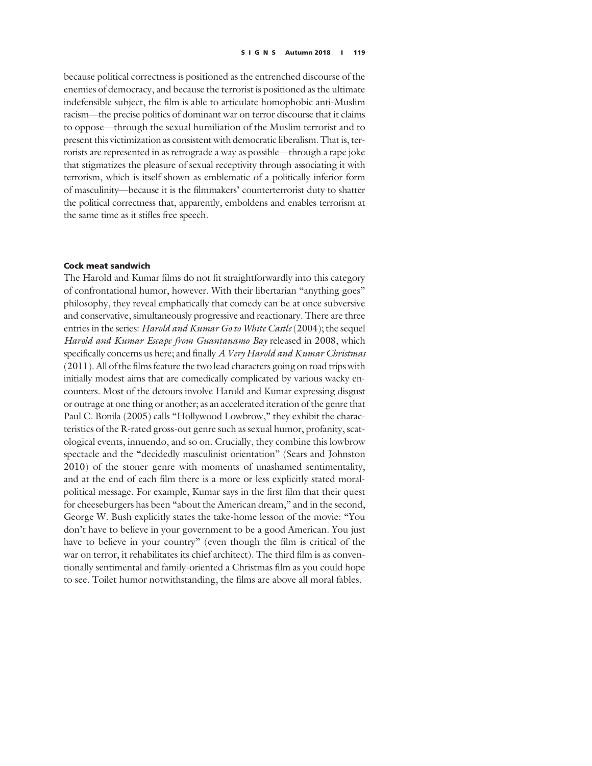because political correctness is positioned as the entrenched discourse of the enemies of democracy, and because the terrorist is positioned as the ultimate indefensible subject, the film is able to articulate homophobic anti-Muslim racism—the precise politics of dominant war on terror discourse that it claims to oppose—through the sexual humiliation of the Muslim terrorist and to present this victimization as consistent with democratic liberalism. That is, terrorists are represented in as retrograde a way as possible—through a rape joke that stigmatizes the pleasure of sexual receptivity through associating it with terrorism, which is itself shown as emblematic of a politically inferior form of masculinity—because it is the filmmakers' counterterrorist duty to shatter the political correctness that, apparently, emboldens and enables terrorism at the same time as it stifles free speech.

### Cock meat sandwich

The Harold and Kumar films do not fit straightforwardly into this category of confrontational humor, however. With their libertarian "anything goes" philosophy, they reveal emphatically that comedy can be at once subversive and conservative, simultaneously progressive and reactionary. There are three entries in the series: Harold and Kumar Go to White Castle (2004); the sequel Harold and Kumar Escape from Guantanamo Bay released in 2008, which specifically concerns us here; and finally A Very Harold and Kumar Christmas (2011). All of the films feature the two lead characters going on road trips with initially modest aims that are comedically complicated by various wacky encounters. Most of the detours involve Harold and Kumar expressing disgust or outrage at one thing or another; as an accelerated iteration of the genre that Paul C. Bonila (2005) calls "Hollywood Lowbrow," they exhibit the characteristics of the R-rated gross-out genre such as sexual humor, profanity, scatological events, innuendo, and so on. Crucially, they combine this lowbrow spectacle and the "decidedly masculinist orientation" (Sears and Johnston 2010) of the stoner genre with moments of unashamed sentimentality, and at the end of each film there is a more or less explicitly stated moralpolitical message. For example, Kumar says in the first film that their quest for cheeseburgers has been "about the American dream," and in the second, George W. Bush explicitly states the take-home lesson of the movie: "You don't have to believe in your government to be a good American. You just have to believe in your country" (even though the film is critical of the war on terror, it rehabilitates its chief architect). The third film is as conventionally sentimental and family-oriented a Christmas film as you could hope to see. Toilet humor notwithstanding, the films are above all moral fables.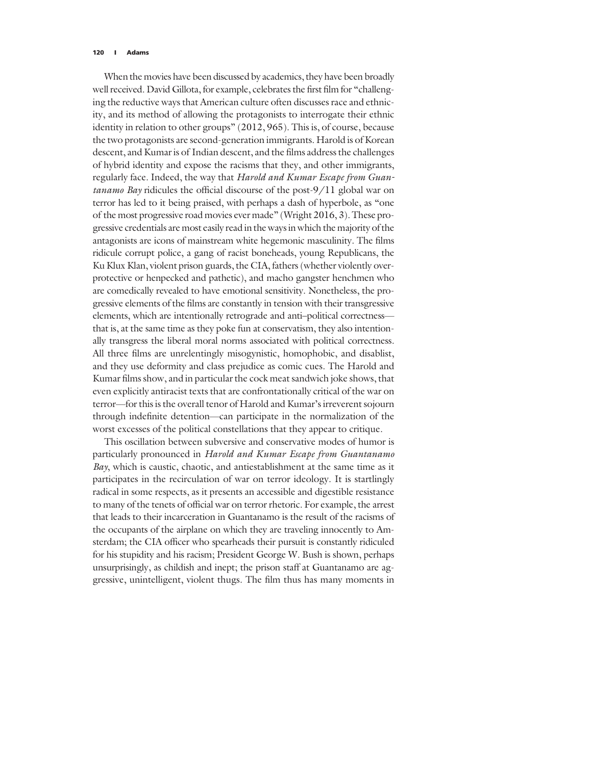#### $120$  I Adams

When the movies have been discussed by academics, they have been broadly well received. David Gillota, for example, celebrates the first film for "challenging the reductive ways that American culture often discusses race and ethnicity, and its method of allowing the protagonists to interrogate their ethnic identity in relation to other groups" (2012, 965). This is, of course, because the two protagonists are second-generation immigrants. Harold is of Korean descent, and Kumar is of Indian descent, and the films address the challenges of hybrid identity and expose the racisms that they, and other immigrants, regularly face. Indeed, the way that Harold and Kumar Escape from Guantanamo Bay ridicules the official discourse of the post-9/11 global war on terror has led to it being praised, with perhaps a dash of hyperbole, as "one of the most progressive road movies ever made" (Wright 2016, 3). These progressive credentials are most easily read in the ways in which the majority of the antagonists are icons of mainstream white hegemonic masculinity. The films ridicule corrupt police, a gang of racist boneheads, young Republicans, the Ku Klux Klan, violent prison guards, the CIA, fathers (whether violently overprotective or henpecked and pathetic), and macho gangster henchmen who are comedically revealed to have emotional sensitivity. Nonetheless, the progressive elements of the films are constantly in tension with their transgressive elements, which are intentionally retrograde and anti–political correctness that is, at the same time as they poke fun at conservatism, they also intentionally transgress the liberal moral norms associated with political correctness. All three films are unrelentingly misogynistic, homophobic, and disablist, and they use deformity and class prejudice as comic cues. The Harold and Kumar films show, and in particular the cock meat sandwich joke shows, that even explicitly antiracist texts that are confrontationally critical of the war on terror—for this is the overall tenor of Harold and Kumar's irreverent sojourn through indefinite detention—can participate in the normalization of the worst excesses of the political constellations that they appear to critique.

This oscillation between subversive and conservative modes of humor is particularly pronounced in Harold and Kumar Escape from Guantanamo Bay, which is caustic, chaotic, and antiestablishment at the same time as it participates in the recirculation of war on terror ideology. It is startlingly radical in some respects, as it presents an accessible and digestible resistance to many of the tenets of official war on terror rhetoric. For example, the arrest that leads to their incarceration in Guantanamo is the result of the racisms of the occupants of the airplane on which they are traveling innocently to Amsterdam; the CIA officer who spearheads their pursuit is constantly ridiculed for his stupidity and his racism; President George W. Bush is shown, perhaps unsurprisingly, as childish and inept; the prison staff at Guantanamo are aggressive, unintelligent, violent thugs. The film thus has many moments in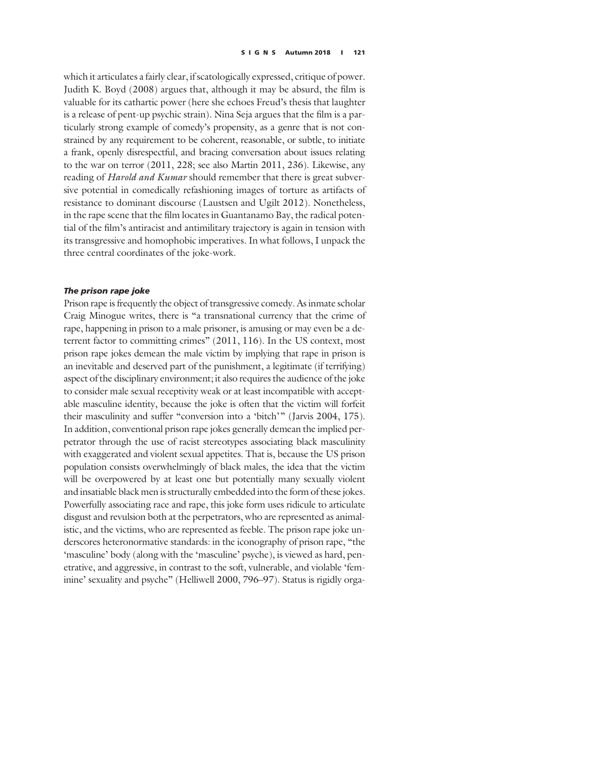which it articulates a fairly clear, if scatologically expressed, critique of power. Judith K. Boyd (2008) argues that, although it may be absurd, the film is valuable for its cathartic power (here she echoes Freud's thesis that laughter is a release of pent-up psychic strain). Nina Seja argues that the film is a particularly strong example of comedy's propensity, as a genre that is not constrained by any requirement to be coherent, reasonable, or subtle, to initiate a frank, openly disrespectful, and bracing conversation about issues relating to the war on terror (2011, 228; see also Martin 2011, 236). Likewise, any reading of *Harold and Kumar* should remember that there is great subversive potential in comedically refashioning images of torture as artifacts of resistance to dominant discourse (Laustsen and Ugilt 2012). Nonetheless, in the rape scene that the film locates in Guantanamo Bay, the radical potential of the film's antiracist and antimilitary trajectory is again in tension with its transgressive and homophobic imperatives. In what follows, I unpack the three central coordinates of the joke-work.

### The prison rape joke

Prison rape is frequently the object of transgressive comedy. As inmate scholar Craig Minogue writes, there is "a transnational currency that the crime of rape, happening in prison to a male prisoner, is amusing or may even be a deterrent factor to committing crimes" (2011, 116). In the US context, most prison rape jokes demean the male victim by implying that rape in prison is an inevitable and deserved part of the punishment, a legitimate (if terrifying) aspect of the disciplinary environment; it also requires the audience of the joke to consider male sexual receptivity weak or at least incompatible with acceptable masculine identity, because the joke is often that the victim will forfeit their masculinity and suffer "conversion into a 'bitch'" (Jarvis 2004, 175). In addition, conventional prison rape jokes generally demean the implied perpetrator through the use of racist stereotypes associating black masculinity with exaggerated and violent sexual appetites. That is, because the US prison population consists overwhelmingly of black males, the idea that the victim will be overpowered by at least one but potentially many sexually violent and insatiable black men is structurally embedded into the form of these jokes. Powerfully associating race and rape, this joke form uses ridicule to articulate disgust and revulsion both at the perpetrators, who are represented as animalistic, and the victims, who are represented as feeble. The prison rape joke underscores heteronormative standards: in the iconography of prison rape, "the 'masculine' body (along with the 'masculine' psyche), is viewed as hard, penetrative, and aggressive, in contrast to the soft, vulnerable, and violable 'feminine' sexuality and psyche" (Helliwell 2000, 796–97). Status is rigidly orga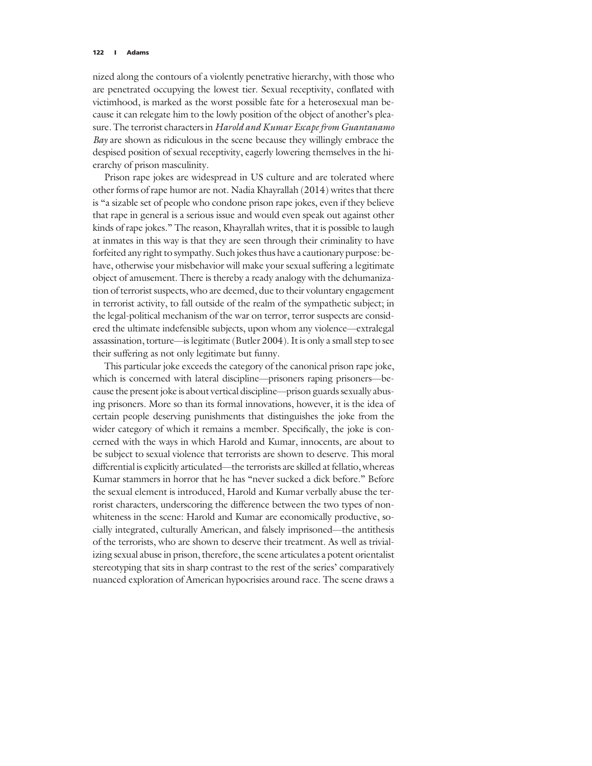nized along the contours of a violently penetrative hierarchy, with those who are penetrated occupying the lowest tier. Sexual receptivity, conflated with victimhood, is marked as the worst possible fate for a heterosexual man because it can relegate him to the lowly position of the object of another's pleasure. The terrorist characters in Harold and Kumar Escape from Guantanamo Bay are shown as ridiculous in the scene because they willingly embrace the despised position of sexual receptivity, eagerly lowering themselves in the hierarchy of prison masculinity.

Prison rape jokes are widespread in US culture and are tolerated where other forms of rape humor are not. Nadia Khayrallah (2014) writes that there is "a sizable set of people who condone prison rape jokes, even if they believe that rape in general is a serious issue and would even speak out against other kinds of rape jokes." The reason, Khayrallah writes, that it is possible to laugh at inmates in this way is that they are seen through their criminality to have forfeited any right to sympathy. Such jokes thus have a cautionary purpose: behave, otherwise your misbehavior will make your sexual suffering a legitimate object of amusement. There is thereby a ready analogy with the dehumanization of terrorist suspects, who are deemed, due to their voluntary engagement in terrorist activity, to fall outside of the realm of the sympathetic subject; in the legal-political mechanism of the war on terror, terror suspects are considered the ultimate indefensible subjects, upon whom any violence—extralegal assassination, torture—is legitimate (Butler 2004). It is only a small step to see their suffering as not only legitimate but funny.

This particular joke exceeds the category of the canonical prison rape joke, which is concerned with lateral discipline—prisoners raping prisoners—because the present joke is about vertical discipline—prison guards sexually abusing prisoners. More so than its formal innovations, however, it is the idea of certain people deserving punishments that distinguishes the joke from the wider category of which it remains a member. Specifically, the joke is concerned with the ways in which Harold and Kumar, innocents, are about to be subject to sexual violence that terrorists are shown to deserve. This moral differential is explicitly articulated—the terrorists are skilled at fellatio, whereas Kumar stammers in horror that he has "never sucked a dick before." Before the sexual element is introduced, Harold and Kumar verbally abuse the terrorist characters, underscoring the difference between the two types of nonwhiteness in the scene: Harold and Kumar are economically productive, socially integrated, culturally American, and falsely imprisoned—the antithesis of the terrorists, who are shown to deserve their treatment. As well as trivializing sexual abuse in prison, therefore, the scene articulates a potent orientalist stereotyping that sits in sharp contrast to the rest of the series' comparatively nuanced exploration of American hypocrisies around race. The scene draws a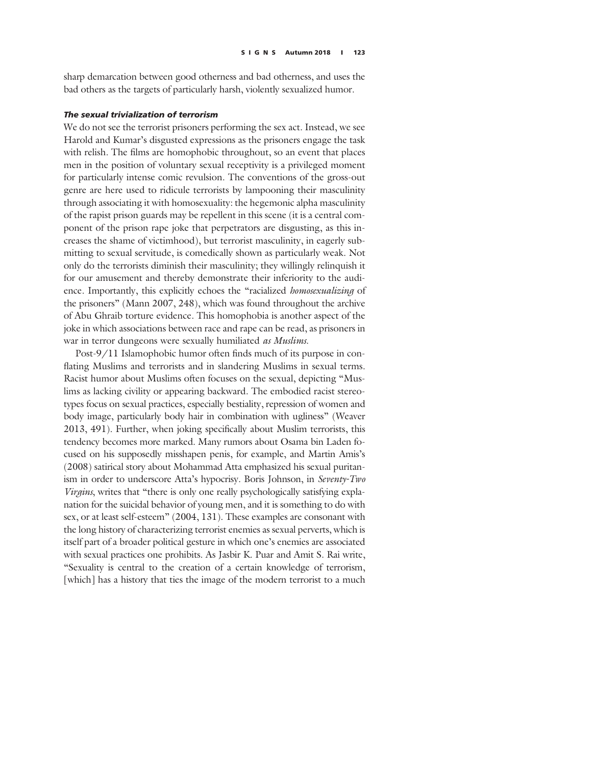sharp demarcation between good otherness and bad otherness, and uses the bad others as the targets of particularly harsh, violently sexualized humor.

### The sexual trivialization of terrorism

We do not see the terrorist prisoners performing the sex act. Instead, we see Harold and Kumar's disgusted expressions as the prisoners engage the task with relish. The films are homophobic throughout, so an event that places men in the position of voluntary sexual receptivity is a privileged moment for particularly intense comic revulsion. The conventions of the gross-out genre are here used to ridicule terrorists by lampooning their masculinity through associating it with homosexuality: the hegemonic alpha masculinity of the rapist prison guards may be repellent in this scene (it is a central component of the prison rape joke that perpetrators are disgusting, as this increases the shame of victimhood), but terrorist masculinity, in eagerly submitting to sexual servitude, is comedically shown as particularly weak. Not only do the terrorists diminish their masculinity; they willingly relinquish it for our amusement and thereby demonstrate their inferiority to the audience. Importantly, this explicitly echoes the "racialized homosexualizing of the prisoners" (Mann 2007, 248), which was found throughout the archive of Abu Ghraib torture evidence. This homophobia is another aspect of the joke in which associations between race and rape can be read, as prisoners in war in terror dungeons were sexually humiliated as Muslims.

Post-9/11 Islamophobic humor often finds much of its purpose in conflating Muslims and terrorists and in slandering Muslims in sexual terms. Racist humor about Muslims often focuses on the sexual, depicting "Muslims as lacking civility or appearing backward. The embodied racist stereotypes focus on sexual practices, especially bestiality, repression of women and body image, particularly body hair in combination with ugliness" (Weaver 2013, 491). Further, when joking specifically about Muslim terrorists, this tendency becomes more marked. Many rumors about Osama bin Laden focused on his supposedly misshapen penis, for example, and Martin Amis's (2008) satirical story about Mohammad Atta emphasized his sexual puritanism in order to underscore Atta's hypocrisy. Boris Johnson, in Seventy-Two Virgins, writes that "there is only one really psychologically satisfying explanation for the suicidal behavior of young men, and it is something to do with sex, or at least self-esteem" (2004, 131). These examples are consonant with the long history of characterizing terrorist enemies as sexual perverts, which is itself part of a broader political gesture in which one's enemies are associated with sexual practices one prohibits. As Jasbir K. Puar and Amit S. Rai write, "Sexuality is central to the creation of a certain knowledge of terrorism, [which] has a history that ties the image of the modern terrorist to a much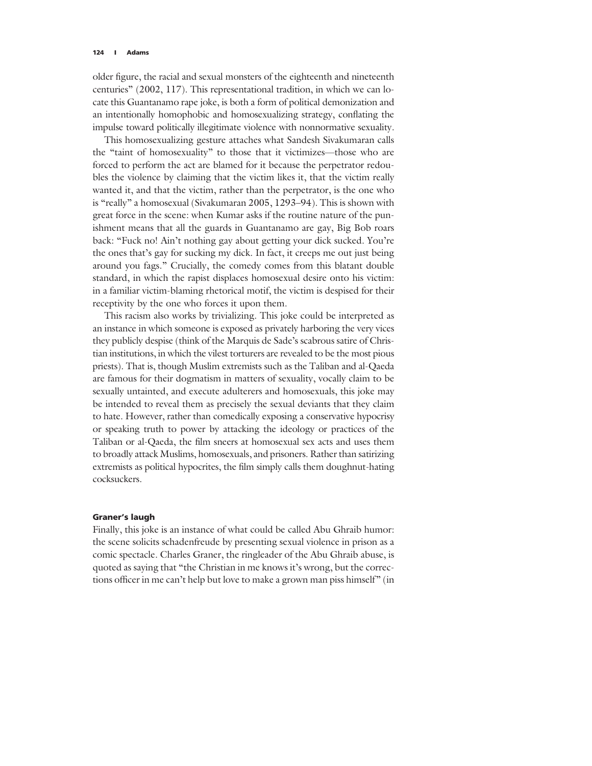older figure, the racial and sexual monsters of the eighteenth and nineteenth centuries" (2002, 117). This representational tradition, in which we can locate this Guantanamo rape joke, is both a form of political demonization and an intentionally homophobic and homosexualizing strategy, conflating the impulse toward politically illegitimate violence with nonnormative sexuality.

This homosexualizing gesture attaches what Sandesh Sivakumaran calls the "taint of homosexuality" to those that it victimizes—those who are forced to perform the act are blamed for it because the perpetrator redoubles the violence by claiming that the victim likes it, that the victim really wanted it, and that the victim, rather than the perpetrator, is the one who is "really" a homosexual (Sivakumaran 2005, 1293–94). This is shown with great force in the scene: when Kumar asks if the routine nature of the punishment means that all the guards in Guantanamo are gay, Big Bob roars back: "Fuck no! Ain't nothing gay about getting your dick sucked. You're the ones that's gay for sucking my dick. In fact, it creeps me out just being around you fags." Crucially, the comedy comes from this blatant double standard, in which the rapist displaces homosexual desire onto his victim: in a familiar victim-blaming rhetorical motif, the victim is despised for their receptivity by the one who forces it upon them.

This racism also works by trivializing. This joke could be interpreted as an instance in which someone is exposed as privately harboring the very vices they publicly despise (think of the Marquis de Sade's scabrous satire of Christian institutions, in which the vilest torturers are revealed to be the most pious priests). That is, though Muslim extremists such as the Taliban and al-Qaeda are famous for their dogmatism in matters of sexuality, vocally claim to be sexually untainted, and execute adulterers and homosexuals, this joke may be intended to reveal them as precisely the sexual deviants that they claim to hate. However, rather than comedically exposing a conservative hypocrisy or speaking truth to power by attacking the ideology or practices of the Taliban or al-Qaeda, the film sneers at homosexual sex acts and uses them to broadly attack Muslims, homosexuals, and prisoners. Rather than satirizing extremists as political hypocrites, the film simply calls them doughnut-hating cocksuckers.

### Graner's laugh

Finally, this joke is an instance of what could be called Abu Ghraib humor: the scene solicits schadenfreude by presenting sexual violence in prison as a comic spectacle. Charles Graner, the ringleader of the Abu Ghraib abuse, is quoted as saying that "the Christian in me knows it's wrong, but the corrections officer in me can't help but love to make a grown man piss himself" (in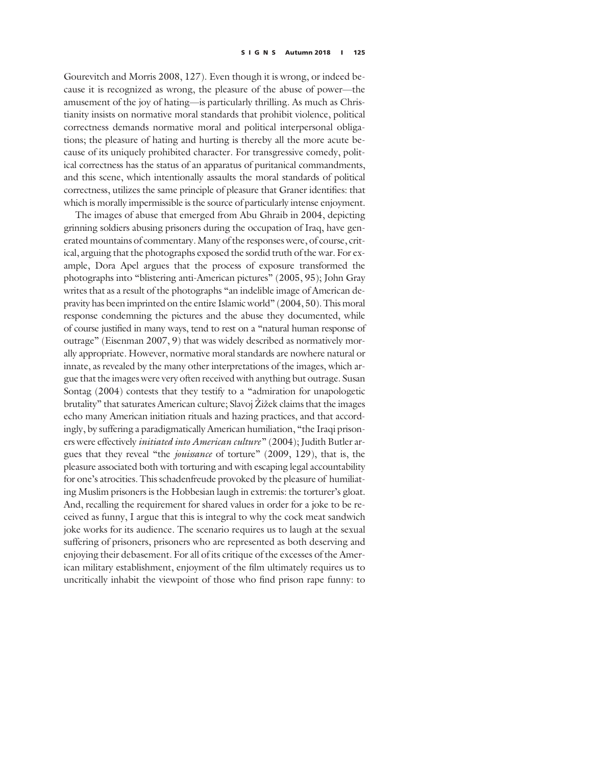Gourevitch and Morris 2008, 127). Even though it is wrong, or indeed because it is recognized as wrong, the pleasure of the abuse of power—the amusement of the joy of hating—is particularly thrilling. As much as Christianity insists on normative moral standards that prohibit violence, political correctness demands normative moral and political interpersonal obligations; the pleasure of hating and hurting is thereby all the more acute because of its uniquely prohibited character. For transgressive comedy, political correctness has the status of an apparatus of puritanical commandments, and this scene, which intentionally assaults the moral standards of political correctness, utilizes the same principle of pleasure that Graner identifies: that which is morally impermissible is the source of particularly intense enjoyment.

The images of abuse that emerged from Abu Ghraib in 2004, depicting grinning soldiers abusing prisoners during the occupation of Iraq, have generated mountains of commentary. Many of the responses were, of course, critical, arguing that the photographs exposed the sordid truth of the war. For example, Dora Apel argues that the process of exposure transformed the photographs into "blistering anti-American pictures" (2005, 95); John Gray writes that as a result of the photographs "an indelible image of American depravity has been imprinted on the entire Islamic world" (2004, 50). This moral response condemning the pictures and the abuse they documented, while of course justified in many ways, tend to rest on a "natural human response of outrage" (Eisenman 2007, 9) that was widely described as normatively morally appropriate. However, normative moral standards are nowhere natural or innate, as revealed by the many other interpretations of the images, which argue that the images were very often received with anything but outrage. Susan Sontag (2004) contests that they testify to a "admiration for unapologetic brutality" that saturates American culture; Slavoj Žižek claims that the images echo many American initiation rituals and hazing practices, and that accordingly, by suffering a paradigmatically American humiliation, "the Iraqi prisoners were effectively initiated into American culture" (2004); Judith Butler argues that they reveal "the jouissance of torture" (2009, 129), that is, the pleasure associated both with torturing and with escaping legal accountability for one's atrocities. This schadenfreude provoked by the pleasure of humiliating Muslim prisoners is the Hobbesian laugh in extremis: the torturer's gloat. And, recalling the requirement for shared values in order for a joke to be received as funny, I argue that this is integral to why the cock meat sandwich joke works for its audience. The scenario requires us to laugh at the sexual suffering of prisoners, prisoners who are represented as both deserving and enjoying their debasement. For all of its critique of the excesses of the American military establishment, enjoyment of the film ultimately requires us to uncritically inhabit the viewpoint of those who find prison rape funny: to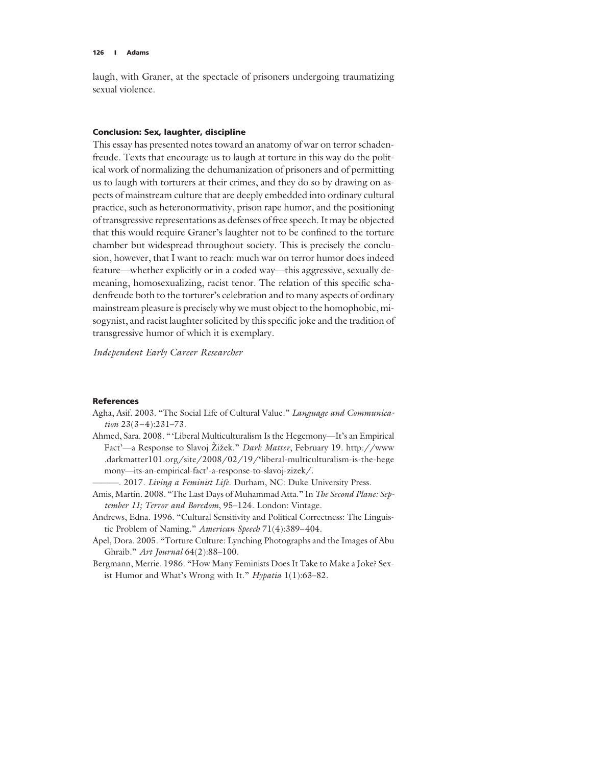#### $126$  J Adams

laugh, with Graner, at the spectacle of prisoners undergoing traumatizing sexual violence.

# Conclusion: Sex, laughter, discipline

This essay has presented notes toward an anatomy of war on terror schadenfreude. Texts that encourage us to laugh at torture in this way do the political work of normalizing the dehumanization of prisoners and of permitting us to laugh with torturers at their crimes, and they do so by drawing on aspects of mainstream culture that are deeply embedded into ordinary cultural practice, such as heteronormativity, prison rape humor, and the positioning of transgressive representations as defenses of free speech. It may be objected that this would require Graner's laughter not to be confined to the torture chamber but widespread throughout society. This is precisely the conclusion, however, that I want to reach: much war on terror humor does indeed feature—whether explicitly or in a coded way—this aggressive, sexually demeaning, homosexualizing, racist tenor. The relation of this specific schadenfreude both to the torturer's celebration and to many aspects of ordinary mainstream pleasure is precisely why we must object to the homophobic, misogynist, and racist laughter solicited by this specific joke and the tradition of transgressive humor of which it is exemplary.

Independent Early Career Researcher

### References

- Agha, Asif. 2003. "The Social Life of Cultural Value." Language and Communication 23(3-4):231-73.
- Ahmed, Sara. 2008. "'Liberal Multiculturalism Is the Hegemony—It's an Empirical Fact'—a Response to Slavoj Žižek." Dark Matter, February 19. http://www .darkmatter101.org/site/2008/02/19/'liberal-multiculturalism-is-the-hege mony—its-an-empirical-fact'-a-response-to-slavoj-zizek/.
- -. 2017. Living a Feminist Life. Durham, NC: Duke University Press.
- Amis, Martin. 2008. "The Last Days of Muhammad Atta." In The Second Plane: September 11; Terror and Boredom, 95-124. London: Vintage.
- Andrews, Edna. 1996. "Cultural Sensitivity and Political Correctness: The Linguistic Problem of Naming." American Speech 71(4):389–404.
- Apel, Dora. 2005. "Torture Culture: Lynching Photographs and the Images of Abu Ghraib." Art Journal 64(2):88–100.
- Bergmann, Merrie. 1986. "How Many Feminists Does It Take to Make a Joke? Sexist Humor and What's Wrong with It." Hypatia 1(1):63-82.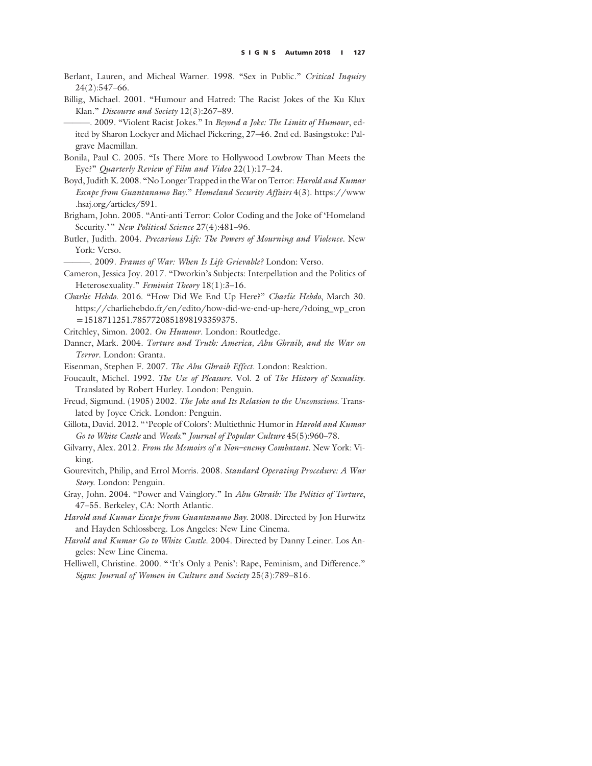- Berlant, Lauren, and Micheal Warner. 1998. "Sex in Public." Critical Inquiry 24(2):547–66.
- Billig, Michael. 2001. "Humour and Hatred: The Racist Jokes of the Ku Klux Klan." Discourse and Society 12(3):267-89.
- -. 2009. "Violent Racist Jokes." In Beyond a Joke: The Limits of Humour, edited by Sharon Lockyer and Michael Pickering, 27–46. 2nd ed. Basingstoke: Palgrave Macmillan.
- Bonila, Paul C. 2005. "Is There More to Hollywood Lowbrow Than Meets the Eye?" Quarterly Review of Film and Video 22(1):17–24.
- Boyd, Judith K. 2008. "No Longer Trapped in the War on Terror: Harold and Kumar Escape from Guantanamo Bay." Homeland Security Affairs 4(3). https://www .hsaj.org/articles/591.
- Brigham, John. 2005. "Anti-anti Terror: Color Coding and the Joke of 'Homeland Security.'" New Political Science 27(4):481-96.
- Butler, Judith. 2004. Precarious Life: The Powers of Mourning and Violence. New York: Verso.

-. 2009. Frames of War: When Is Life Grievable? London: Verso.

- Cameron, Jessica Joy. 2017. "Dworkin's Subjects: Interpellation and the Politics of Heterosexuality." Feminist Theory 18(1):3-16.
- Charlie Hebdo. 2016. "How Did We End Up Here?" Charlie Hebdo, March 30. https://charliehebdo.fr/en/edito/how-did-we-end-up-here/?doing\_wp\_cron p1518711251.7857720851898193359375.

Critchley, Simon. 2002. On Humour. London: Routledge.

Danner, Mark. 2004. Torture and Truth: America, Abu Ghraib, and the War on Terror. London: Granta.

Eisenman, Stephen F. 2007. The Abu Ghraib Effect. London: Reaktion.

Foucault, Michel. 1992. The Use of Pleasure. Vol. 2 of The History of Sexuality. Translated by Robert Hurley. London: Penguin.

Freud, Sigmund. (1905) 2002. The Joke and Its Relation to the Unconscious. Translated by Joyce Crick. London: Penguin.

- Gillota, David. 2012. "'People of Colors': Multiethnic Humor in Harold and Kumar Go to White Castle and Weeds." Journal of Popular Culture 45(5):960–78.
- Gilvarry, Alex. 2012. From the Memoirs of a Non–enemy Combatant. New York: Viking.
- Gourevitch, Philip, and Errol Morris. 2008. Standard Operating Procedure: A War Story. London: Penguin.
- Gray, John. 2004. "Power and Vainglory." In Abu Ghraib: The Politics of Torture, 47–55. Berkeley, CA: North Atlantic.
- Harold and Kumar Escape from Guantanamo Bay. 2008. Directed by Jon Hurwitz and Hayden Schlossberg. Los Angeles: New Line Cinema.
- Harold and Kumar Go to White Castle. 2004. Directed by Danny Leiner. Los Angeles: New Line Cinema.
- Helliwell, Christine. 2000. "'It's Only a Penis': Rape, Feminism, and Difference." Signs: Journal of Women in Culture and Society 25(3):789–816.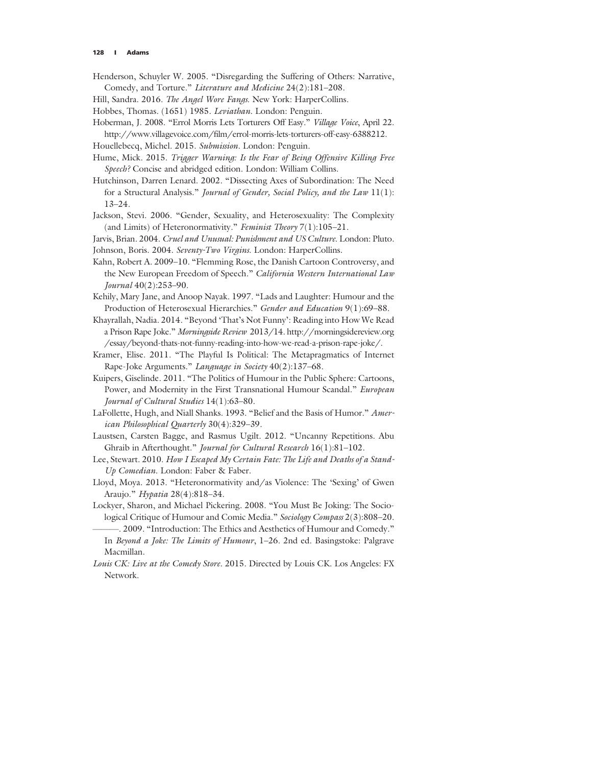- Henderson, Schuyler W. 2005. "Disregarding the Suffering of Others: Narrative, Comedy, and Torture." Literature and Medicine 24(2):181–208.
- Hill, Sandra. 2016. The Angel Wore Fangs. New York: HarperCollins.
- Hobbes, Thomas. (1651) 1985. Leviathan. London: Penguin.
- Hoberman, J. 2008. "Errol Morris Lets Torturers Off Easy." Village Voice, April 22. http://www.villagevoice.com/film/errol-morris-lets-torturers-off-easy-6388212.
- Houellebecq, Michel. 2015. Submission. London: Penguin.
- Hume, Mick. 2015. Trigger Warning: Is the Fear of Being Offensive Killing Free Speech? Concise and abridged edition. London: William Collins.
- Hutchinson, Darren Lenard. 2002. "Dissecting Axes of Subordination: The Need for a Structural Analysis." Journal of Gender, Social Policy, and the Law 11(1): 13–24.
- Jackson, Stevi. 2006. "Gender, Sexuality, and Heterosexuality: The Complexity (and Limits) of Heteronormativity." Feminist Theory  $7(1):105-21$ .

Jarvis, Brian. 2004. Cruel and Unusual: Punishment and US Culture. London: Pluto. Johnson, Boris. 2004. Seventy-Two Virgins. London: HarperCollins.

- Kahn, Robert A. 2009–10. "Flemming Rose, the Danish Cartoon Controversy, and the New European Freedom of Speech." California Western International Law Journal 40(2):253–90.
- Kehily, Mary Jane, and Anoop Nayak. 1997. "Lads and Laughter: Humour and the Production of Heterosexual Hierarchies." Gender and Education 9(1):69-88.
- Khayrallah, Nadia. 2014. "Beyond 'That's Not Funny': Reading into How We Read a Prison Rape Joke." Morningside Review 2013/14. http://morningsidereview.org /essay/beyond-thats-not-funny-reading-into-how-we-read-a-prison-rape-joke/.
- Kramer, Elise. 2011. "The Playful Is Political: The Metapragmatics of Internet Rape-Joke Arguments." Language in Society 40(2):137-68.
- Kuipers, Giselinde. 2011. "The Politics of Humour in the Public Sphere: Cartoons, Power, and Modernity in the First Transnational Humour Scandal." *European* Journal of Cultural Studies 14(1):63–80.
- LaFollette, Hugh, and Niall Shanks. 1993. "Belief and the Basis of Humor." American Philosophical Quarterly 30(4):329–39.
- Laustsen, Carsten Bagge, and Rasmus Ugilt. 2012. "Uncanny Repetitions. Abu Ghraib in Afterthought." Journal for Cultural Research 16(1):81-102.
- Lee, Stewart. 2010. How I Escaped My Certain Fate: The Life and Deaths of a Stand-Up Comedian. London: Faber & Faber.
- Lloyd, Moya. 2013. "Heteronormativity and/as Violence: The 'Sexing' of Gwen Araujo." Hypatia 28(4):818–34.
- Lockyer, Sharon, and Michael Pickering. 2008. "You Must Be Joking: The Sociological Critique of Humour and Comic Media." Sociology Compass 2(3):808–20. ———. 2009. "Introduction: The Ethics and Aesthetics of Humour and Comedy."
- In Beyond a Joke: The Limits of Humour, 1-26. 2nd ed. Basingstoke: Palgrave Macmillan.
- Louis CK: Live at the Comedy Store. 2015. Directed by Louis CK. Los Angeles: FX Network.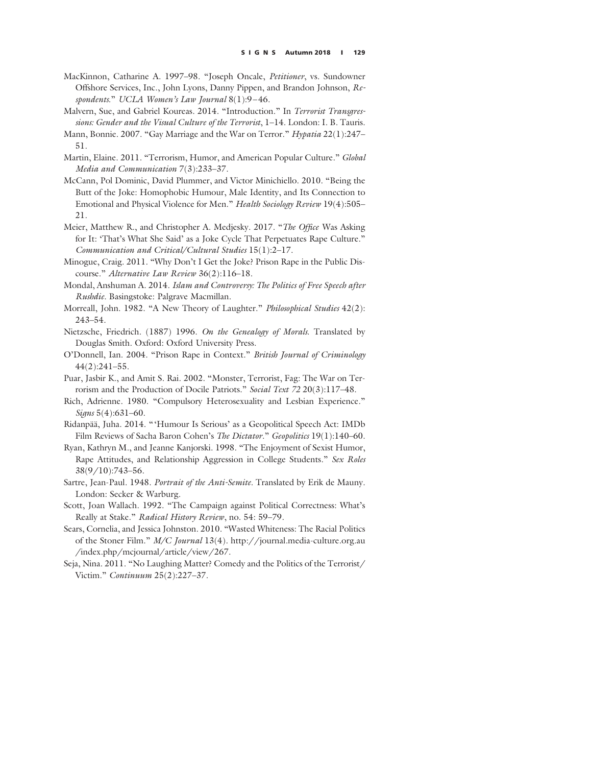- MacKinnon, Catharine A. 1997–98. "Joseph Oncale, Petitioner, vs. Sundowner Offshore Services, Inc., John Lyons, Danny Pippen, and Brandon Johnson, Respondents." UCLA Women's Law Journal 8(1):9–46.
- Malvern, Sue, and Gabriel Koureas. 2014. "Introduction." In Terrorist Transgressions: Gender and the Visual Culture of the Terrorist, 1–14. London: I. B. Tauris.
- Mann, Bonnie. 2007. "Gay Marriage and the War on Terror." Hypatia 22(1):247– 51.
- Martin, Elaine. 2011. "Terrorism, Humor, and American Popular Culture." Global Media and Communication 7(3):233–37.
- McCann, Pol Dominic, David Plummer, and Victor Minichiello. 2010. "Being the Butt of the Joke: Homophobic Humour, Male Identity, and Its Connection to Emotional and Physical Violence for Men." Health Sociology Review 19(4):505– 21.
- Meier, Matthew R., and Christopher A. Medjesky. 2017. "The Office Was Asking for It: 'That's What She Said' as a Joke Cycle That Perpetuates Rape Culture." Communication and Critical/Cultural Studies 15(1):2–17.
- Minogue, Craig. 2011. "Why Don't I Get the Joke? Prison Rape in the Public Discourse." Alternative Law Review 36(2):116–18.
- Mondal, Anshuman A. 2014. Islam and Controversy: The Politics of Free Speech after Rushdie. Basingstoke: Palgrave Macmillan.
- Morreall, John. 1982. "A New Theory of Laughter." Philosophical Studies 42(2): 243–54.
- Nietzsche, Friedrich. (1887) 1996. On the Genealogy of Morals. Translated by Douglas Smith. Oxford: Oxford University Press.
- O'Donnell, Ian. 2004. "Prison Rape in Context." British Journal of Criminology 44(2):241–55.
- Puar, Jasbir K., and Amit S. Rai. 2002. "Monster, Terrorist, Fag: The War on Terrorism and the Production of Docile Patriots." Social Text 72 20(3):117–48.
- Rich, Adrienne. 1980. "Compulsory Heterosexuality and Lesbian Experience." Signs 5(4):631-60.
- Ridanpää, Juha. 2014. "'Humour Is Serious' as a Geopolitical Speech Act: IMDb Film Reviews of Sacha Baron Cohen's The Dictator." Geopolitics 19(1):140-60.
- Ryan, Kathryn M., and Jeanne Kanjorski. 1998. "The Enjoyment of Sexist Humor, Rape Attitudes, and Relationship Aggression in College Students." Sex Roles 38(9/10):743–56.
- Sartre, Jean-Paul. 1948. Portrait of the Anti-Semite. Translated by Erik de Mauny. London: Secker & Warburg.
- Scott, Joan Wallach. 1992. "The Campaign against Political Correctness: What's Really at Stake." Radical History Review, no. 54: 59–79.
- Sears, Cornelia, and Jessica Johnston. 2010. "Wasted Whiteness: The Racial Politics of the Stoner Film." M/C Journal 13(4). http://journal.media-culture.org.au /index.php/mcjournal/article/view/267.
- Seja, Nina. 2011. "No Laughing Matter? Comedy and the Politics of the Terrorist/ Victim." Continuum 25(2):227–37.